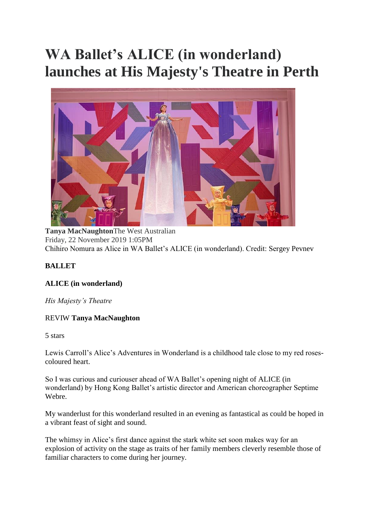## **WA Ballet's ALICE (in wonderland) launches at His Majesty's Theatre in Perth**



**Tanya MacNaughton**The West Australian Friday, 22 November 2019 1:05PM Chihiro Nomura as Alice in WA Ballet's ALICE (in wonderland). Credit: Sergey Pevnev

## **BALLET**

## **ALICE (in wonderland)**

*His Majesty's Theatre*

## REVIW **Tanya MacNaughton**

5 stars

Lewis Carroll's Alice's Adventures in Wonderland is a childhood tale close to my red rosescoloured heart.

So I was curious and curiouser ahead of WA Ballet's opening night of ALICE (in wonderland) by Hong Kong Ballet's artistic director and American choreographer Septime Webre.

My wanderlust for this wonderland resulted in an evening as fantastical as could be hoped in a vibrant feast of sight and sound.

The whimsy in Alice's first dance against the stark white set soon makes way for an explosion of activity on the stage as traits of her family members cleverly resemble those of familiar characters to come during her journey.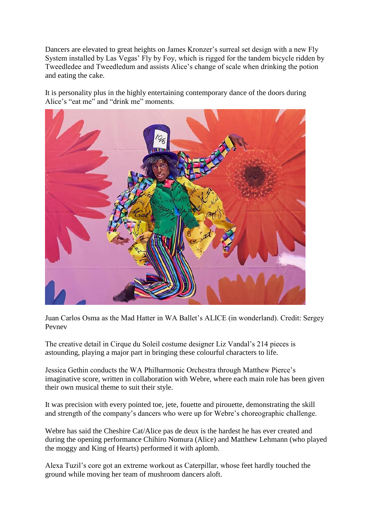Dancers are elevated to great heights on James Kronzer's surreal set design with a new Fly System installed by Las Vegas' Fly by Foy, which is rigged for the tandem bicycle ridden by Tweedledee and Tweedledum and assists Alice's change of scale when drinking the potion and eating the cake.

It is personality plus in the highly entertaining contemporary dance of the doors during Alice's "eat me" and "drink me" moments.



Juan Carlos Osma as the Mad Hatter in WA Ballet's ALICE (in wonderland). Credit: Sergey Pevnev

The creative detail in Cirque du Soleil costume designer Liz Vandal's 214 pieces is astounding, playing a major part in bringing these colourful characters to life.

Jessica Gethin conducts the WA Philharmonic Orchestra through Matthew Pierce's imaginative score, written in collaboration with Webre, where each main role has been given their own musical theme to suit their style.

It was precision with every pointed toe, jete, fouette and pirouette, demonstrating the skill and strength of the company's dancers who were up for Webre's choreographic challenge.

Webre has said the Cheshire Cat/Alice pas de deux is the hardest he has ever created and during the opening performance Chihiro Nomura (Alice) and Matthew Lehmann (who played the moggy and King of Hearts) performed it with aplomb.

Alexa Tuzil's core got an extreme workout as Caterpillar, whose feet hardly touched the ground while moving her team of mushroom dancers aloft.